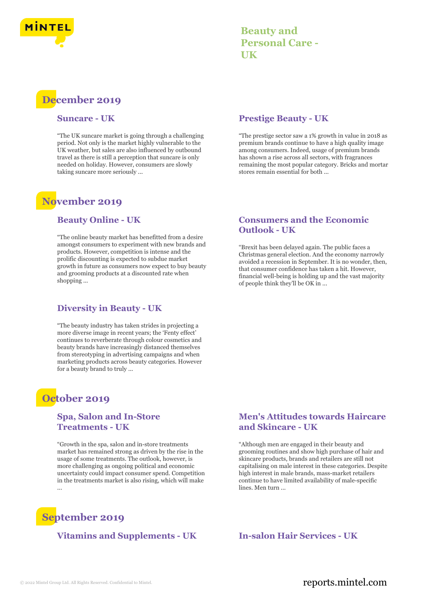

# **Beauty and Personal Care - UK**

# **December 2019**

#### **Suncare - UK**

"The UK suncare market is going through a challenging period. Not only is the market highly vulnerable to the UK weather, but sales are also influenced by outbound travel as there is still a perception that suncare is only needed on holiday. However, consumers are slowly taking suncare more seriously ...

# **November 2019**

#### **Beauty Online - UK**

"The online beauty market has benefitted from a desire amongst consumers to experiment with new brands and products. However, competition is intense and the prolific discounting is expected to subdue market growth in future as consumers now expect to buy beauty and grooming products at a discounted rate when shopping ...

# **Diversity in Beauty - UK**

"The beauty industry has taken strides in projecting a more diverse image in recent years; the 'Fenty effect' continues to reverberate through colour cosmetics and beauty brands have increasingly distanced themselves from stereotyping in advertising campaigns and when marketing products across beauty categories. However for a beauty brand to truly ...

# **October 2019**

### **Spa, Salon and In-Store Treatments - UK**

"Growth in the spa, salon and in-store treatments market has remained strong as driven by the rise in the usage of some treatments. The outlook, however, is more challenging as ongoing political and economic uncertainty could impact consumer spend. Competition in the treatments market is also rising, which will make ...



### **Vitamins and Supplements - UK In-salon Hair Services - UK**

### **Prestige Beauty - UK**

"The prestige sector saw a 1% growth in value in 2018 as premium brands continue to have a high quality image among consumers. Indeed, usage of premium brands has shown a rise across all sectors, with fragrances remaining the most popular category. Bricks and mortar stores remain essential for both ...

### **Consumers and the Economic Outlook - UK**

"Brexit has been delayed again. The public faces a Christmas general election. And the economy narrowly avoided a recession in September. It is no wonder, then, that consumer confidence has taken a hit. However, financial well-being is holding up and the vast majority of people think they'll be OK in ...

### **Men's Attitudes towards Haircare and Skincare - UK**

"Although men are engaged in their beauty and grooming routines and show high purchase of hair and skincare products, brands and retailers are still not capitalising on male interest in these categories. Despite high interest in male brands, mass-market retailers continue to have limited availability of male-specific lines. Men turn ...

# © 2022 Mintel Group Ltd. All Rights Reserved. Confidential to Mintel.  $\blacksquare$  reports.mintel.com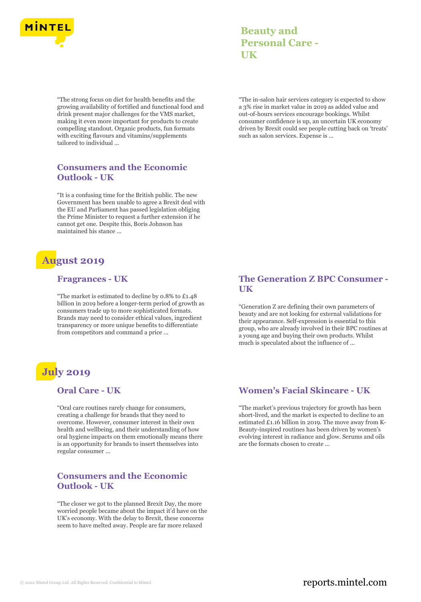

"The strong focus on diet for health benefits and the growing availability of fortified and functional food and drink present major challenges for the VMS market, making it even more important for products to create compelling standout. Organic products, fun formats with exciting flavours and vitamins/supplements tailored to individual ...

# **Consumers and the Economic Outlook - UK**

"It is a confusing time for the British public. The new Government has been unable to agree a Brexit deal with the EU and Parliament has passed legislation obliging the Prime Minister to request a further extension if he cannot get one. Despite this, Boris Johnson has maintained his stance ...

# **August 2019**

#### **Fragrances - UK**

"The market is estimated to decline by 0.8% to £1.48 billion in 2019 before a longer-term period of growth as consumers trade up to more sophisticated formats. Brands may need to consider ethical values, ingredient transparency or more unique benefits to differentiate from competitors and command a price ...

# **July 2019**

# **Oral Care - UK**

"Oral care routines rarely change for consumers, creating a challenge for brands that they need to overcome. However, consumer interest in their own health and wellbeing, and their understanding of how oral hygiene impacts on them emotionally means there is an opportunity for brands to insert themselves into regular consumer ...

#### **Consumers and the Economic Outlook - UK**

"The closer we got to the planned Brexit Day, the more worried people became about the impact it'd have on the UK's economy. With the delay to Brexit, these concerns seem to have melted away. People are far more relaxed

**Beauty and Personal Care - UK**

"The in-salon hair services category is expected to show a 3% rise in market value in 2019 as added value and out-of-hours services encourage bookings. Whilst consumer confidence is up, an uncertain UK economy driven by Brexit could see people cutting back on 'treats' such as salon services. Expense is ...

# **The Generation Z BPC Consumer - UK**

"Generation Z are defining their own parameters of beauty and are not looking for external validations for their appearance. Self-expression is essential to this group, who are already involved in their BPC routines at a young age and buying their own products. Whilst much is speculated about the influence of ...

# **Women's Facial Skincare - UK**

"The market's previous trajectory for growth has been short-lived, and the market is expected to decline to an estimated £1.16 billion in 2019. The move away from K-Beauty-inspired routines has been driven by women's evolving interest in radiance and glow. Serums and oils are the formats chosen to create ...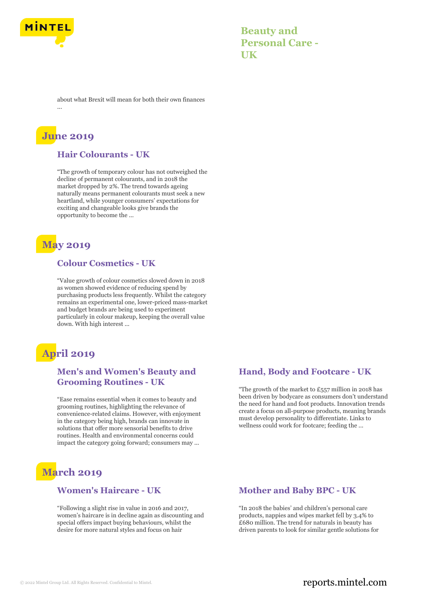

**Beauty and Personal Care - UK**

about what Brexit will mean for both their own finances ...

# **June 2019**

#### **Hair Colourants - UK**

"The growth of temporary colour has not outweighed the decline of permanent colourants, and in 2018 the market dropped by 2%. The trend towards ageing naturally means permanent colourants must seek a new heartland, while younger consumers' expectations for exciting and changeable looks give brands the opportunity to become the ...

# **May 2019**

# **Colour Cosmetics - UK**

"Value growth of colour cosmetics slowed down in 2018 as women showed evidence of reducing spend by purchasing products less frequently. Whilst the category remains an experimental one, lower-priced mass-market and budget brands are being used to experiment particularly in colour makeup, keeping the overall value down. With high interest ...

# **April 2019**

# **Men's and Women's Beauty and Grooming Routines - UK**

"Ease remains essential when it comes to beauty and grooming routines, highlighting the relevance of convenience-related claims. However, with enjoyment in the category being high, brands can innovate in solutions that offer more sensorial benefits to drive routines. Health and environmental concerns could impact the category going forward; consumers may ...

# **March 2019**

#### **Women's Haircare - UK**

"Following a slight rise in value in 2016 and 2017, women's haircare is in decline again as discounting and special offers impact buying behaviours, whilst the desire for more natural styles and focus on hair

# **Hand, Body and Footcare - UK**

"The growth of the market to  $£557$  million in 2018 has been driven by bodycare as consumers don't understand the need for hand and foot products. Innovation trends create a focus on all-purpose products, meaning brands must develop personality to differentiate. Links to wellness could work for footcare; feeding the ...

#### **Mother and Baby BPC - UK**

"In 2018 the babies' and children's personal care products, nappies and wipes market fell by 3.4% to £680 million. The trend for naturals in beauty has driven parents to look for similar gentle solutions for

# © 2022 Mintel Group Ltd. All Rights Reserved. Confidential to Mintel.  $\blacksquare$  reports.mintel.com